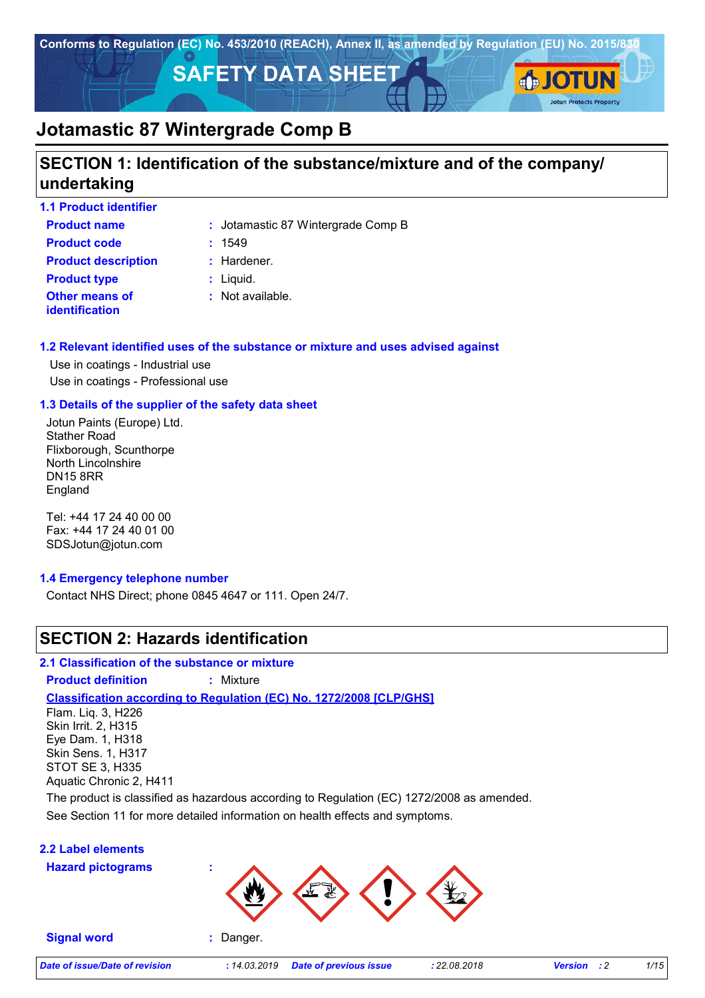

### **SECTION 1: Identification of the substance/mixture and of the company/ undertaking**

| <b>1.1 Product identifier</b>                  |                                    |
|------------------------------------------------|------------------------------------|
| <b>Product name</b>                            | : Jotamastic 87 Wintergrade Comp B |
| <b>Product code</b>                            | : 1549                             |
| <b>Product description</b>                     | $:$ Hardener.                      |
| <b>Product type</b>                            | $:$ Liquid.                        |
| <b>Other means of</b><br><b>identification</b> | $:$ Not available.                 |

### **1.2 Relevant identified uses of the substance or mixture and uses advised against**

Use in coatings - Industrial use Use in coatings - Professional use

### **1.3 Details of the supplier of the safety data sheet**

Jotun Paints (Europe) Ltd. Stather Road Flixborough, Scunthorpe North Lincolnshire DN15 8RR England

Tel: +44 17 24 40 00 00 Fax: +44 17 24 40 01 00 SDSJotun@jotun.com

### **1.4 Emergency telephone number**

Contact NHS Direct; phone 0845 4647 or 111. Open 24/7.

### **SECTION 2: Hazards identification**

**2.1 Classification of the substance or mixture**

**Product definition :** Mixture

**Classification according to Regulation (EC) No. 1272/2008 [CLP/GHS]**

Flam. Liq. 3, H226 Skin Irrit. 2, H315 Eye Dam. 1, H318 Skin Sens. 1, H317 STOT SE 3, H335 Aquatic Chronic 2, H411

See Section 11 for more detailed information on health effects and symptoms. The product is classified as hazardous according to Regulation (EC) 1272/2008 as amended.

### **2.2 Label elements**

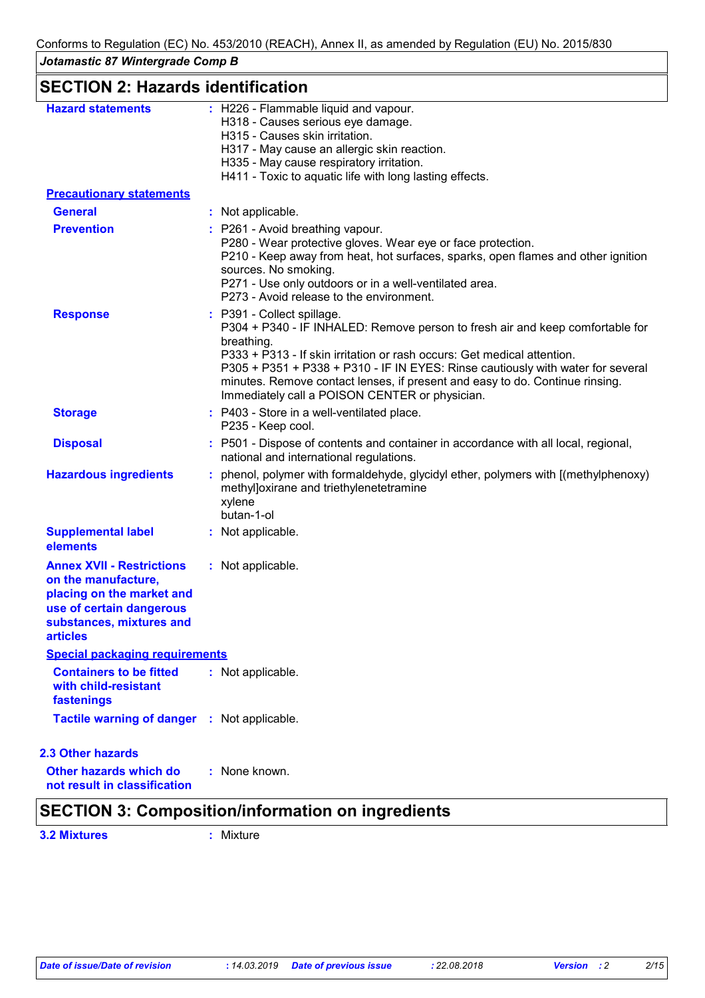# **SECTION 2: Hazards identification**

| <b>Hazard statements</b>                                                                                                                                 | : H226 - Flammable liquid and vapour.<br>H318 - Causes serious eye damage.<br>H315 - Causes skin irritation.<br>H317 - May cause an allergic skin reaction.<br>H335 - May cause respiratory irritation.<br>H411 - Toxic to aquatic life with long lasting effects.                                                                                                                                                        |
|----------------------------------------------------------------------------------------------------------------------------------------------------------|---------------------------------------------------------------------------------------------------------------------------------------------------------------------------------------------------------------------------------------------------------------------------------------------------------------------------------------------------------------------------------------------------------------------------|
| <b>Precautionary statements</b>                                                                                                                          |                                                                                                                                                                                                                                                                                                                                                                                                                           |
| <b>General</b>                                                                                                                                           | : Not applicable.                                                                                                                                                                                                                                                                                                                                                                                                         |
| <b>Prevention</b>                                                                                                                                        | : P261 - Avoid breathing vapour.<br>P280 - Wear protective gloves. Wear eye or face protection.<br>P210 - Keep away from heat, hot surfaces, sparks, open flames and other ignition<br>sources. No smoking.<br>P271 - Use only outdoors or in a well-ventilated area.<br>P273 - Avoid release to the environment.                                                                                                         |
| <b>Response</b>                                                                                                                                          | : P391 - Collect spillage.<br>P304 + P340 - IF INHALED: Remove person to fresh air and keep comfortable for<br>breathing.<br>P333 + P313 - If skin irritation or rash occurs: Get medical attention.<br>P305 + P351 + P338 + P310 - IF IN EYES: Rinse cautiously with water for several<br>minutes. Remove contact lenses, if present and easy to do. Continue rinsing.<br>Immediately call a POISON CENTER or physician. |
| <b>Storage</b>                                                                                                                                           | : P403 - Store in a well-ventilated place.<br>P235 - Keep cool.                                                                                                                                                                                                                                                                                                                                                           |
| <b>Disposal</b>                                                                                                                                          | : P501 - Dispose of contents and container in accordance with all local, regional,<br>national and international regulations.                                                                                                                                                                                                                                                                                             |
| <b>Hazardous ingredients</b>                                                                                                                             | : phenol, polymer with formaldehyde, glycidyl ether, polymers with [(methylphenoxy)<br>methyl]oxirane and triethylenetetramine<br>xylene<br>butan-1-ol                                                                                                                                                                                                                                                                    |
| <b>Supplemental label</b><br>elements                                                                                                                    | : Not applicable.                                                                                                                                                                                                                                                                                                                                                                                                         |
| <b>Annex XVII - Restrictions</b><br>on the manufacture,<br>placing on the market and<br>use of certain dangerous<br>substances, mixtures and<br>articles | : Not applicable.                                                                                                                                                                                                                                                                                                                                                                                                         |
| <b>Special packaging requirements</b>                                                                                                                    |                                                                                                                                                                                                                                                                                                                                                                                                                           |
| <b>Containers to be fitted</b><br>with child-resistant<br>fastenings                                                                                     | : Not applicable.                                                                                                                                                                                                                                                                                                                                                                                                         |
| Tactile warning of danger : Not applicable.                                                                                                              |                                                                                                                                                                                                                                                                                                                                                                                                                           |
| <b>2.3 Other hazards</b>                                                                                                                                 |                                                                                                                                                                                                                                                                                                                                                                                                                           |
| <b>Other hazards which do</b><br>not result in classification                                                                                            | : None known.                                                                                                                                                                                                                                                                                                                                                                                                             |

# **SECTION 3: Composition/information on ingredients**

**3.2 Mixtures :** Mixture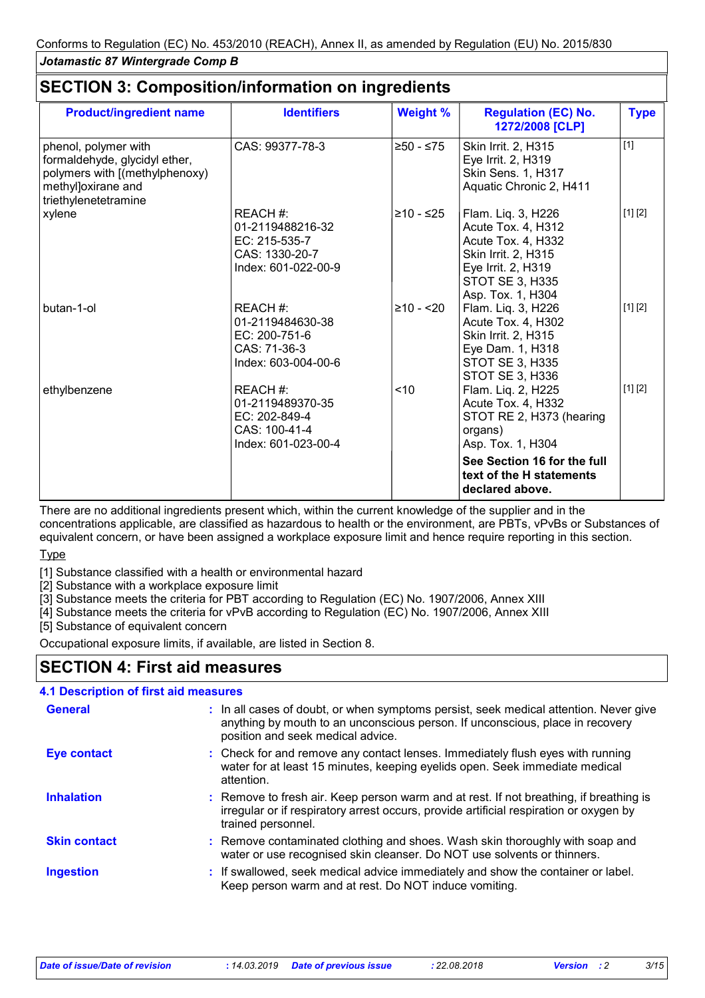| <b>Product/ingredient name</b>                                                                                                        | <b>Identifiers</b>                                                                     | <b>Weight %</b> | <b>Regulation (EC) No.</b><br>1272/2008 [CLP]                                                                                                       | <b>Type</b> |
|---------------------------------------------------------------------------------------------------------------------------------------|----------------------------------------------------------------------------------------|-----------------|-----------------------------------------------------------------------------------------------------------------------------------------------------|-------------|
| phenol, polymer with<br>formaldehyde, glycidyl ether,<br>polymers with [(methylphenoxy)<br>methyl]oxirane and<br>triethylenetetramine | CAS: 99377-78-3                                                                        | $≥50 - ≤75$     | Skin Irrit. 2, H315<br>Eye Irrit. 2, H319<br>Skin Sens. 1, H317<br>Aquatic Chronic 2, H411                                                          | $[1]$       |
| xylene                                                                                                                                | REACH #:<br>01-2119488216-32<br>EC: 215-535-7<br>CAS: 1330-20-7<br>Index: 601-022-00-9 | ≥10 - ≤25       | Flam. Liq. 3, H226<br>Acute Tox. 4, H312<br>Acute Tox. 4, H332<br>Skin Irrit. 2, H315<br>Eye Irrit. 2, H319<br>STOT SE 3, H335<br>Asp. Tox. 1, H304 | [1] [2]     |
| butan-1-ol                                                                                                                            | REACH #:<br>01-2119484630-38<br>EC: 200-751-6<br>CAS: 71-36-3<br>Index: 603-004-00-6   | $≥10 - 20$      | Flam. Liq. 3, H226<br>Acute Tox. 4, H302<br>Skin Irrit. 2, H315<br>Eye Dam. 1, H318<br>STOT SE 3, H335<br>STOT SE 3, H336                           | [1] [2]     |
| ethylbenzene                                                                                                                          | REACH #:<br>01-2119489370-35<br>EC: 202-849-4<br>CAS: 100-41-4<br>Index: 601-023-00-4  | < 10            | Flam. Liq. 2, H225<br>Acute Tox. 4, H332<br>STOT RE 2, H373 (hearing<br>organs)<br>Asp. Tox. 1, H304                                                | [1] [2]     |
|                                                                                                                                       |                                                                                        |                 | See Section 16 for the full<br>text of the H statements<br>declared above.                                                                          |             |

### **SECTION 3: Composition/information on ingredients**

There are no additional ingredients present which, within the current knowledge of the supplier and in the concentrations applicable, are classified as hazardous to health or the environment, are PBTs, vPvBs or Substances of equivalent concern, or have been assigned a workplace exposure limit and hence require reporting in this section.

Type

[1] Substance classified with a health or environmental hazard

[2] Substance with a workplace exposure limit

[3] Substance meets the criteria for PBT according to Regulation (EC) No. 1907/2006, Annex XIII

[4] Substance meets the criteria for vPvB according to Regulation (EC) No. 1907/2006, Annex XIII

[5] Substance of equivalent concern

Occupational exposure limits, if available, are listed in Section 8.

### **SECTION 4: First aid measures**

### **4.1 Description of first aid measures**

| <b>General</b>      | : In all cases of doubt, or when symptoms persist, seek medical attention. Never give<br>anything by mouth to an unconscious person. If unconscious, place in recovery<br>position and seek medical advice. |
|---------------------|-------------------------------------------------------------------------------------------------------------------------------------------------------------------------------------------------------------|
| <b>Eye contact</b>  | : Check for and remove any contact lenses. Immediately flush eyes with running<br>water for at least 15 minutes, keeping eyelids open. Seek immediate medical<br>attention.                                 |
| <b>Inhalation</b>   | : Remove to fresh air. Keep person warm and at rest. If not breathing, if breathing is<br>irregular or if respiratory arrest occurs, provide artificial respiration or oxygen by<br>trained personnel.      |
| <b>Skin contact</b> | : Remove contaminated clothing and shoes. Wash skin thoroughly with soap and<br>water or use recognised skin cleanser. Do NOT use solvents or thinners.                                                     |
| <b>Ingestion</b>    | : If swallowed, seek medical advice immediately and show the container or label.<br>Keep person warm and at rest. Do NOT induce vomiting.                                                                   |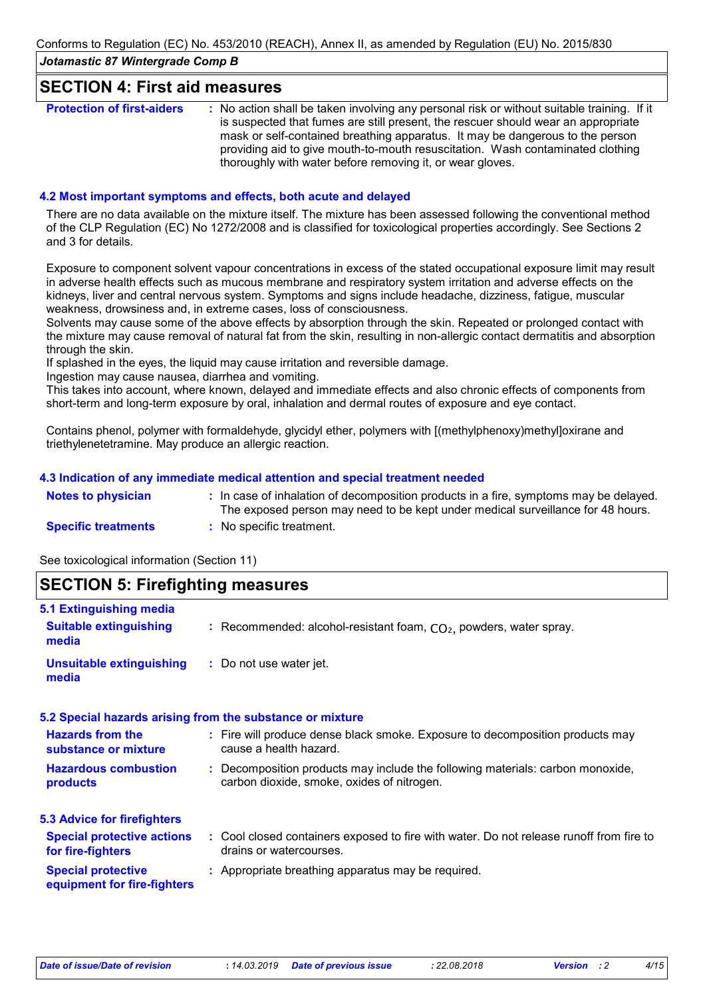### **SECTION 4: First aid measures**

| <b>Protection of first-aiders</b> | : No action shall be taken involving any personal risk or without suitable training. If it<br>is suspected that fumes are still present, the rescuer should wear an appropriate<br>mask or self-contained breathing apparatus. It may be dangerous to the person<br>providing aid to give mouth-to-mouth resuscitation. Wash contaminated clothing |
|-----------------------------------|----------------------------------------------------------------------------------------------------------------------------------------------------------------------------------------------------------------------------------------------------------------------------------------------------------------------------------------------------|
|                                   | thoroughly with water before removing it, or wear gloves.                                                                                                                                                                                                                                                                                          |

#### **4.2 Most important symptoms and effects, both acute and delayed**

There are no data available on the mixture itself. The mixture has been assessed following the conventional method of the CLP Regulation (EC) No 1272/2008 and is classified for toxicological properties accordingly. See Sections 2 and 3 for details.

Exposure to component solvent vapour concentrations in excess of the stated occupational exposure limit may result in adverse health effects such as mucous membrane and respiratory system irritation and adverse effects on the kidneys, liver and central nervous system. Symptoms and signs include headache, dizziness, fatigue, muscular weakness, drowsiness and, in extreme cases, loss of consciousness.

Solvents may cause some of the above effects by absorption through the skin. Repeated or prolonged contact with the mixture may cause removal of natural fat from the skin, resulting in non-allergic contact dermatitis and absorption through the skin.

If splashed in the eyes, the liquid may cause irritation and reversible damage.

Ingestion may cause nausea, diarrhea and vomiting.

This takes into account, where known, delayed and immediate effects and also chronic effects of components from short-term and long-term exposure by oral, inhalation and dermal routes of exposure and eye contact.

Contains phenol, polymer with formaldehyde, glycidyl ether, polymers with [(methylphenoxy)methyl]oxirane and triethylenetetramine. May produce an allergic reaction.

#### **4.3 Indication of any immediate medical attention and special treatment needed**

| Notes to physician         | : In case of inhalation of decomposition products in a fire, symptoms may be delayed.<br>The exposed person may need to be kept under medical surveillance for 48 hours. |
|----------------------------|--------------------------------------------------------------------------------------------------------------------------------------------------------------------------|
| <b>Specific treatments</b> | : No specific treatment.                                                                                                                                                 |

See toxicological information (Section 11)

### **SECTION 5: Firefighting measures**

| 5.1 Extinguishing media                                   |                                                                                                                              |
|-----------------------------------------------------------|------------------------------------------------------------------------------------------------------------------------------|
| <b>Suitable extinguishing</b><br>media                    | : Recommended: alcohol-resistant foam, $CO2$ , powders, water spray.                                                         |
| <b>Unsuitable extinguishing</b><br>media                  | : Do not use water jet.                                                                                                      |
| 5.2 Special hazards arising from the substance or mixture |                                                                                                                              |
| <b>Hazards from the</b><br>substance or mixture           | : Fire will produce dense black smoke. Exposure to decomposition products may<br>cause a health hazard.                      |
| <b>Hazardous combustion</b><br>products                   | : Decomposition products may include the following materials: carbon monoxide,<br>carbon dioxide, smoke, oxides of nitrogen. |
| <b>5.3 Advice for firefighters</b>                        |                                                                                                                              |
| <b>Special protective actions</b><br>for fire-fighters    | : Cool closed containers exposed to fire with water. Do not release runoff from fire to<br>drains or watercourses.           |
| <b>Special protective</b><br>equipment for fire-fighters  | : Appropriate breathing apparatus may be required.                                                                           |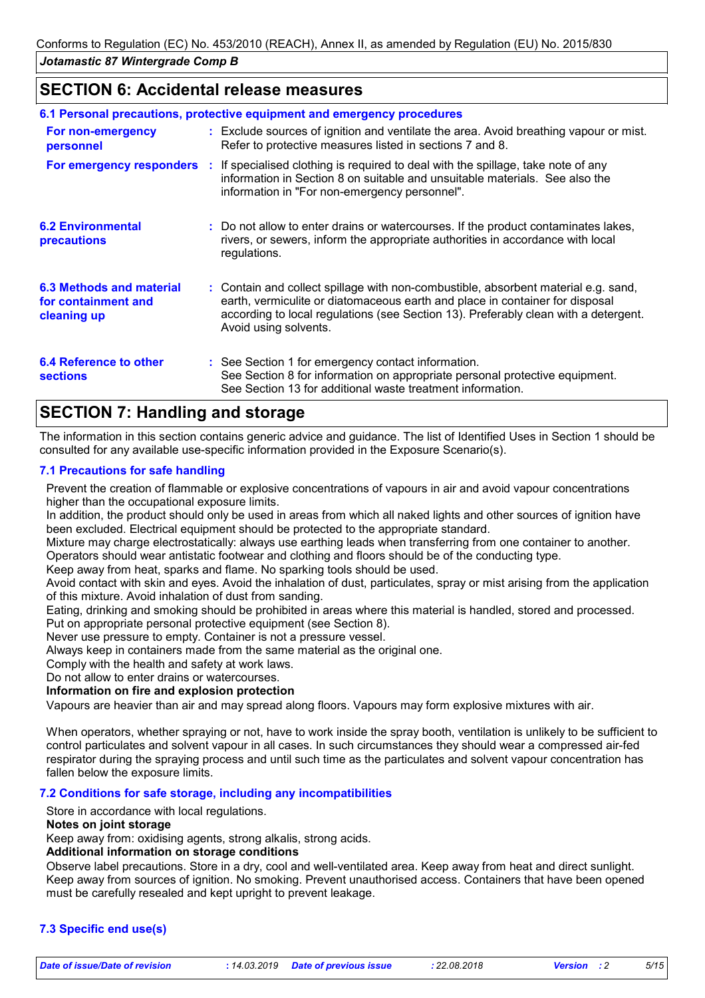### **SECTION 6: Accidental release measures**

| 6.1 Personal precautions, protective equipment and emergency procedures |  |                                                                                                                                                                                                                                                                                    |  |
|-------------------------------------------------------------------------|--|------------------------------------------------------------------------------------------------------------------------------------------------------------------------------------------------------------------------------------------------------------------------------------|--|
| For non-emergency<br>personnel                                          |  | : Exclude sources of ignition and ventilate the area. Avoid breathing vapour or mist.<br>Refer to protective measures listed in sections 7 and 8.                                                                                                                                  |  |
|                                                                         |  | <b>For emergency responders</b> : If specialised clothing is required to deal with the spillage, take note of any<br>information in Section 8 on suitable and unsuitable materials. See also the<br>information in "For non-emergency personnel".                                  |  |
| <b>6.2 Environmental</b><br><b>precautions</b>                          |  | : Do not allow to enter drains or watercourses. If the product contaminates lakes,<br>rivers, or sewers, inform the appropriate authorities in accordance with local<br>regulations.                                                                                               |  |
| <b>6.3 Methods and material</b><br>for containment and<br>cleaning up   |  | : Contain and collect spillage with non-combustible, absorbent material e.g. sand,<br>earth, vermiculite or diatomaceous earth and place in container for disposal<br>according to local regulations (see Section 13). Preferably clean with a detergent.<br>Avoid using solvents. |  |
| 6.4 Reference to other<br><b>sections</b>                               |  | : See Section 1 for emergency contact information.<br>See Section 8 for information on appropriate personal protective equipment.<br>See Section 13 for additional waste treatment information.                                                                                    |  |

### **SECTION 7: Handling and storage**

The information in this section contains generic advice and guidance. The list of Identified Uses in Section 1 should be consulted for any available use-specific information provided in the Exposure Scenario(s).

### **7.1 Precautions for safe handling**

Prevent the creation of flammable or explosive concentrations of vapours in air and avoid vapour concentrations higher than the occupational exposure limits.

In addition, the product should only be used in areas from which all naked lights and other sources of ignition have been excluded. Electrical equipment should be protected to the appropriate standard.

Mixture may charge electrostatically: always use earthing leads when transferring from one container to another. Operators should wear antistatic footwear and clothing and floors should be of the conducting type.

Keep away from heat, sparks and flame. No sparking tools should be used.

Avoid contact with skin and eyes. Avoid the inhalation of dust, particulates, spray or mist arising from the application of this mixture. Avoid inhalation of dust from sanding.

Eating, drinking and smoking should be prohibited in areas where this material is handled, stored and processed. Put on appropriate personal protective equipment (see Section 8).

Never use pressure to empty. Container is not a pressure vessel.

Always keep in containers made from the same material as the original one.

Comply with the health and safety at work laws.

Do not allow to enter drains or watercourses.

**Information on fire and explosion protection**

Vapours are heavier than air and may spread along floors. Vapours may form explosive mixtures with air.

When operators, whether spraying or not, have to work inside the spray booth, ventilation is unlikely to be sufficient to control particulates and solvent vapour in all cases. In such circumstances they should wear a compressed air-fed respirator during the spraying process and until such time as the particulates and solvent vapour concentration has fallen below the exposure limits.

### **7.2 Conditions for safe storage, including any incompatibilities**

Store in accordance with local regulations.

#### **Notes on joint storage**

Keep away from: oxidising agents, strong alkalis, strong acids.

### **Additional information on storage conditions**

Observe label precautions. Store in a dry, cool and well-ventilated area. Keep away from heat and direct sunlight. Keep away from sources of ignition. No smoking. Prevent unauthorised access. Containers that have been opened must be carefully resealed and kept upright to prevent leakage.

### **7.3 Specific end use(s)**

*Date of issue/Date of revision* **:** *14.03.2019 Date of previous issue : 22.08.2018 Version : 2 5/15*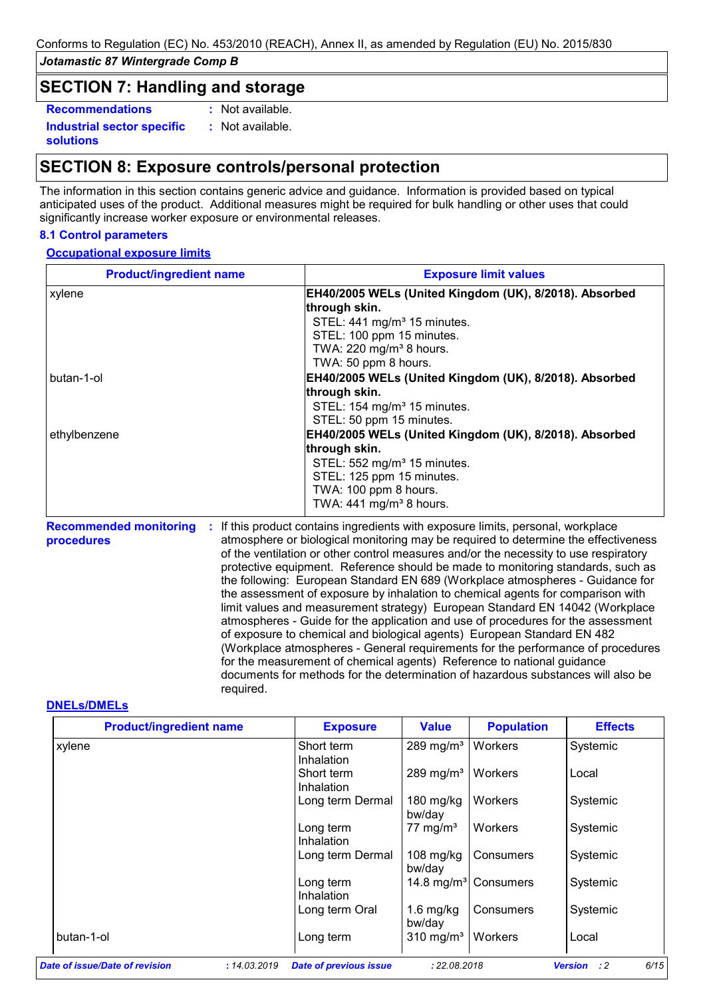### **SECTION 7: Handling and storage**

**Recommendations :**

**Industrial sector specific : solutions**

: Not available. : Not available.

### **SECTION 8: Exposure controls/personal protection**

The information in this section contains generic advice and guidance. Information is provided based on typical anticipated uses of the product. Additional measures might be required for bulk handling or other uses that could significantly increase worker exposure or environmental releases.

### **8.1 Control parameters**

### **Occupational exposure limits**

| <b>Product/ingredient name</b> | <b>Exposure limit values</b>                           |  |  |  |
|--------------------------------|--------------------------------------------------------|--|--|--|
| xylene                         | EH40/2005 WELs (United Kingdom (UK), 8/2018). Absorbed |  |  |  |
|                                | through skin.                                          |  |  |  |
|                                | STEL: 441 mg/m <sup>3</sup> 15 minutes.                |  |  |  |
|                                | STEL: 100 ppm 15 minutes.                              |  |  |  |
|                                | TWA: 220 mg/m <sup>3</sup> 8 hours.                    |  |  |  |
|                                | TWA: 50 ppm 8 hours.                                   |  |  |  |
| butan-1-ol                     | EH40/2005 WELs (United Kingdom (UK), 8/2018). Absorbed |  |  |  |
|                                | through skin.                                          |  |  |  |
|                                | STEL: 154 mg/m <sup>3</sup> 15 minutes.                |  |  |  |
|                                | STEL: 50 ppm 15 minutes.                               |  |  |  |
| ethylbenzene                   | EH40/2005 WELs (United Kingdom (UK), 8/2018). Absorbed |  |  |  |
|                                | through skin.                                          |  |  |  |
|                                | STEL: 552 mg/m <sup>3</sup> 15 minutes.                |  |  |  |
|                                | STEL: 125 ppm 15 minutes.                              |  |  |  |
|                                | TWA: 100 ppm 8 hours.                                  |  |  |  |
|                                | TWA: 441 mg/m <sup>3</sup> 8 hours.                    |  |  |  |

Recommended monitoring : If this product contains ingredients with exposure limits, personal, workplace **procedures** atmosphere or biological monitoring may be required to determine the effectiveness of the ventilation or other control measures and/or the necessity to use respiratory protective equipment. Reference should be made to monitoring standards, such as the following: European Standard EN 689 (Workplace atmospheres - Guidance for the assessment of exposure by inhalation to chemical agents for comparison with limit values and measurement strategy) European Standard EN 14042 (Workplace atmospheres - Guide for the application and use of procedures for the assessment of exposure to chemical and biological agents) European Standard EN 482 (Workplace atmospheres - General requirements for the performance of procedures for the measurement of chemical agents) Reference to national guidance documents for methods for the determination of hazardous substances will also be required.

### **DNELs/DMELs**

| <b>Product/ingredient name</b> | <b>Exposure</b>                               | <b>Value</b>                    | <b>Population</b>                | <b>Effects</b>                        |
|--------------------------------|-----------------------------------------------|---------------------------------|----------------------------------|---------------------------------------|
| xylene                         | Short term<br>Inhalation                      | 289 mg/m <sup>3</sup>   Workers |                                  | Systemic                              |
|                                | Short term<br>Inhalation                      | $289$ mg/m <sup>3</sup>         | <b>Workers</b>                   | Local                                 |
|                                | Long term Dermal                              | 180 mg/kg<br>bw/day             | Workers                          | Systemic                              |
|                                | Long term<br>Inhalation                       | 77 mg/m <sup>3</sup>            | Workers                          | Systemic                              |
|                                | Long term Dermal                              | $108$ mg/kg<br>bw/day           | Consumers                        | Systemic                              |
|                                | Long term<br>Inhalation                       |                                 | 14.8 mg/m <sup>3</sup> Consumers | Systemic                              |
|                                | Long term Oral                                | $1.6$ mg/kg<br>bw/day           | Consumers                        | Systemic                              |
| butan-1-ol                     | Long term                                     | $310$ mg/m <sup>3</sup>         | <b>Workers</b>                   | Local                                 |
| Date of issue/Date of revision | : 14.03.2019<br><b>Date of previous issue</b> | : 22.08.2018                    |                                  | 6/15<br>$\cdot$ : 2<br><b>Version</b> |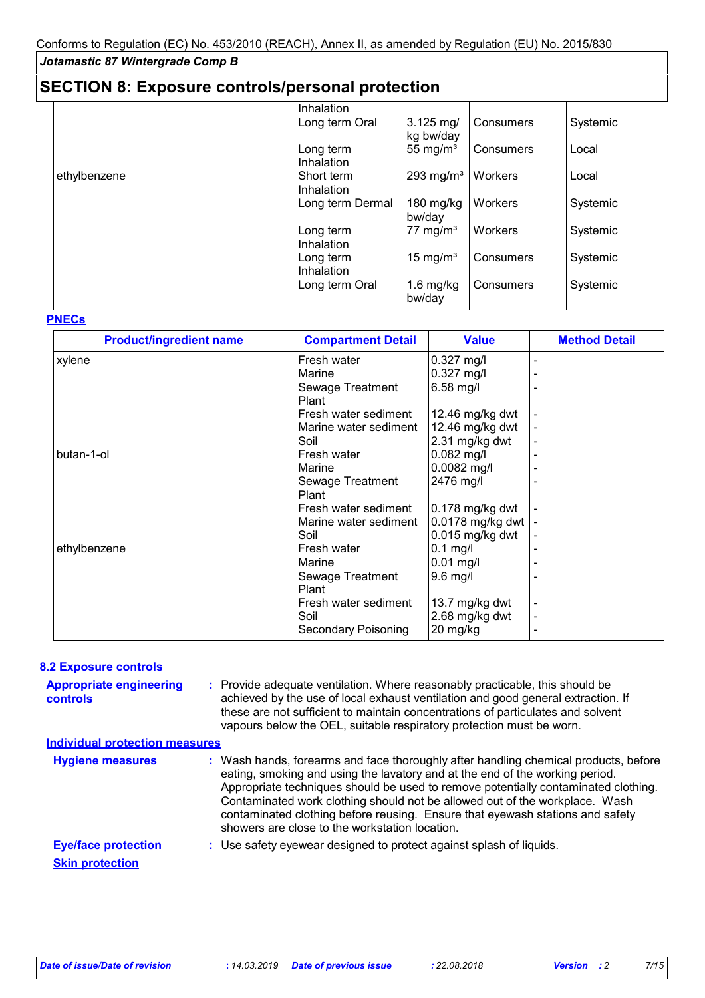| <b>SECTION 8: Exposure controls/personal protection</b> |                  |                       |           |          |
|---------------------------------------------------------|------------------|-----------------------|-----------|----------|
|                                                         | Inhalation       |                       |           |          |
|                                                         | Long term Oral   | $3.125$ mg/           | Consumers | Systemic |
|                                                         |                  | kg bw/day             |           |          |
|                                                         | Long term        | 55 mg/ $m3$           | Consumers | Local    |
|                                                         | Inhalation       |                       |           |          |
| ethylbenzene                                            | Short term       | 293 mg/m <sup>3</sup> | Workers   | Local    |
|                                                         | Inhalation       |                       |           |          |
|                                                         | Long term Dermal | 180 $mg/kg$           | Workers   | Systemic |
|                                                         |                  | bw/day                |           |          |
|                                                         | Long term        | 77 mg/m <sup>3</sup>  | Workers   | Systemic |
|                                                         | Inhalation       |                       |           |          |
|                                                         | Long term        | 15 mg/m <sup>3</sup>  | Consumers | Systemic |
|                                                         | Inhalation       |                       |           |          |
|                                                         | Long term Oral   | $1.6$ mg/kg           | Consumers | Systemic |
|                                                         |                  | bw/day                |           |          |
|                                                         |                  |                       |           |          |

#### **PNECs**

| <b>Product/ingredient name</b> | <b>Compartment Detail</b> | <b>Value</b>     | <b>Method Detail</b> |
|--------------------------------|---------------------------|------------------|----------------------|
| xylene                         | Fresh water               | $0.327$ mg/l     |                      |
|                                | Marine                    | $0.327$ mg/l     |                      |
|                                | Sewage Treatment          | 6.58 mg/l        |                      |
|                                | Plant                     |                  |                      |
|                                | Fresh water sediment      | 12.46 mg/kg dwt  |                      |
|                                | Marine water sediment     | 12.46 mg/kg dwt  |                      |
|                                | Soil                      | 2.31 mg/kg dwt   |                      |
| butan-1-ol                     | Fresh water               | $0.082$ mg/l     |                      |
|                                | Marine                    | $0.0082$ mg/l    |                      |
|                                | Sewage Treatment          | 2476 mg/l        |                      |
|                                | Plant                     |                  |                      |
|                                | Fresh water sediment      | 0.178 mg/kg dwt  |                      |
|                                | Marine water sediment     | 0.0178 mg/kg dwt |                      |
|                                | Soil                      | 0.015 mg/kg dwt  |                      |
| ethylbenzene                   | Fresh water               | $0.1$ mg/l       |                      |
|                                | Marine                    | $0.01$ mg/l      |                      |
|                                | Sewage Treatment          | 9.6 mg/l         |                      |
|                                | Plant                     |                  |                      |
|                                | Fresh water sediment      | 13.7 mg/kg dwt   |                      |
|                                | Soil                      | 2.68 mg/kg dwt   |                      |
|                                | Secondary Poisoning       | 20 mg/kg         |                      |

### **8.2 Exposure controls**

Provide adequate ventilation. Where reasonably practicable, this should be **:** achieved by the use of local exhaust ventilation and good general extraction. If these are not sufficient to maintain concentrations of particulates and solvent vapours below the OEL, suitable respiratory protection must be worn. **Appropriate engineering controls**

### **Individual protection measures**

| <b>Hygiene measures</b>    | : Wash hands, forearms and face thoroughly after handling chemical products, before<br>eating, smoking and using the lavatory and at the end of the working period.<br>Appropriate techniques should be used to remove potentially contaminated clothing.<br>Contaminated work clothing should not be allowed out of the workplace. Wash<br>contaminated clothing before reusing. Ensure that eyewash stations and safety<br>showers are close to the workstation location. |
|----------------------------|-----------------------------------------------------------------------------------------------------------------------------------------------------------------------------------------------------------------------------------------------------------------------------------------------------------------------------------------------------------------------------------------------------------------------------------------------------------------------------|
| <b>Eye/face protection</b> | : Use safety eyewear designed to protect against splash of liquids.                                                                                                                                                                                                                                                                                                                                                                                                         |
| <b>Skin protection</b>     |                                                                                                                                                                                                                                                                                                                                                                                                                                                                             |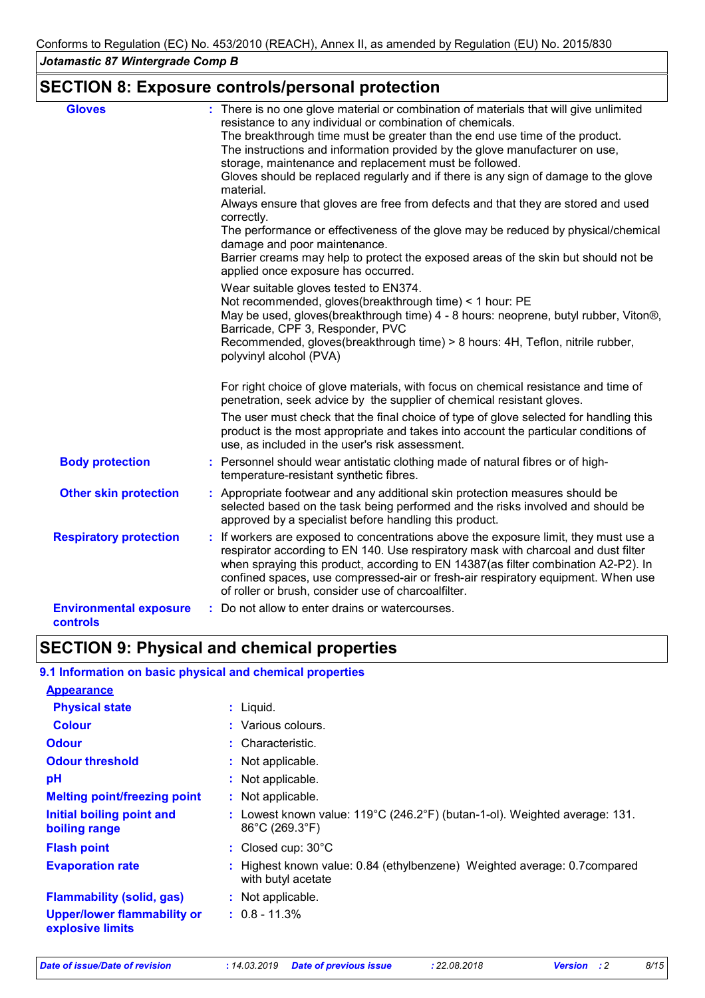### **SECTION 8: Exposure controls/personal protection**

| <b>Gloves</b>                                    | : There is no one glove material or combination of materials that will give unlimited                                                                                                                                                                                                                                                                                                                       |
|--------------------------------------------------|-------------------------------------------------------------------------------------------------------------------------------------------------------------------------------------------------------------------------------------------------------------------------------------------------------------------------------------------------------------------------------------------------------------|
|                                                  | resistance to any individual or combination of chemicals.                                                                                                                                                                                                                                                                                                                                                   |
|                                                  | The breakthrough time must be greater than the end use time of the product.                                                                                                                                                                                                                                                                                                                                 |
|                                                  | The instructions and information provided by the glove manufacturer on use,                                                                                                                                                                                                                                                                                                                                 |
|                                                  | storage, maintenance and replacement must be followed.                                                                                                                                                                                                                                                                                                                                                      |
|                                                  | Gloves should be replaced regularly and if there is any sign of damage to the glove<br>material.                                                                                                                                                                                                                                                                                                            |
|                                                  | Always ensure that gloves are free from defects and that they are stored and used<br>correctly.                                                                                                                                                                                                                                                                                                             |
|                                                  | The performance or effectiveness of the glove may be reduced by physical/chemical<br>damage and poor maintenance.                                                                                                                                                                                                                                                                                           |
|                                                  | Barrier creams may help to protect the exposed areas of the skin but should not be<br>applied once exposure has occurred.                                                                                                                                                                                                                                                                                   |
|                                                  | Wear suitable gloves tested to EN374.                                                                                                                                                                                                                                                                                                                                                                       |
|                                                  | Not recommended, gloves(breakthrough time) < 1 hour: PE                                                                                                                                                                                                                                                                                                                                                     |
|                                                  | May be used, gloves(breakthrough time) 4 - 8 hours: neoprene, butyl rubber, Viton®,<br>Barricade, CPF 3, Responder, PVC                                                                                                                                                                                                                                                                                     |
|                                                  | Recommended, gloves(breakthrough time) > 8 hours: 4H, Teflon, nitrile rubber,<br>polyvinyl alcohol (PVA)                                                                                                                                                                                                                                                                                                    |
|                                                  | For right choice of glove materials, with focus on chemical resistance and time of<br>penetration, seek advice by the supplier of chemical resistant gloves.                                                                                                                                                                                                                                                |
|                                                  | The user must check that the final choice of type of glove selected for handling this<br>product is the most appropriate and takes into account the particular conditions of<br>use, as included in the user's risk assessment.                                                                                                                                                                             |
| <b>Body protection</b>                           | : Personnel should wear antistatic clothing made of natural fibres or of high-<br>temperature-resistant synthetic fibres.                                                                                                                                                                                                                                                                                   |
| <b>Other skin protection</b>                     | : Appropriate footwear and any additional skin protection measures should be<br>selected based on the task being performed and the risks involved and should be<br>approved by a specialist before handling this product.                                                                                                                                                                                   |
| <b>Respiratory protection</b>                    | : If workers are exposed to concentrations above the exposure limit, they must use a<br>respirator according to EN 140. Use respiratory mask with charcoal and dust filter<br>when spraying this product, according to EN 14387(as filter combination A2-P2). In<br>confined spaces, use compressed-air or fresh-air respiratory equipment. When use<br>of roller or brush, consider use of charcoalfilter. |
| <b>Environmental exposure</b><br><b>controls</b> | : Do not allow to enter drains or watercourses.                                                                                                                                                                                                                                                                                                                                                             |

# **SECTION 9: Physical and chemical properties**

| 9.1 Information on basic physical and chemical properties                                                                              |
|----------------------------------------------------------------------------------------------------------------------------------------|
|                                                                                                                                        |
| $:$ Liquid.                                                                                                                            |
| : Various colours.                                                                                                                     |
| $:$ Characteristic.                                                                                                                    |
| : Not applicable.                                                                                                                      |
| : Not applicable.                                                                                                                      |
| : Not applicable.                                                                                                                      |
| : Lowest known value: $119^{\circ}$ C (246.2 $^{\circ}$ F) (butan-1-ol). Weighted average: 131.<br>$86^{\circ}$ C (269.3 $^{\circ}$ F) |
| : Closed cup: $30^{\circ}$ C                                                                                                           |
| : Highest known value: 0.84 (ethylbenzene) Weighted average: 0.7 compared<br>with butyl acetate                                        |
| : Not applicable.                                                                                                                      |
| $: 0.8 - 11.3\%$                                                                                                                       |
|                                                                                                                                        |

*Date of issue/Date of revision* **:** *14.03.2019 Date of previous issue : 22.08.2018 Version : 2 8/15*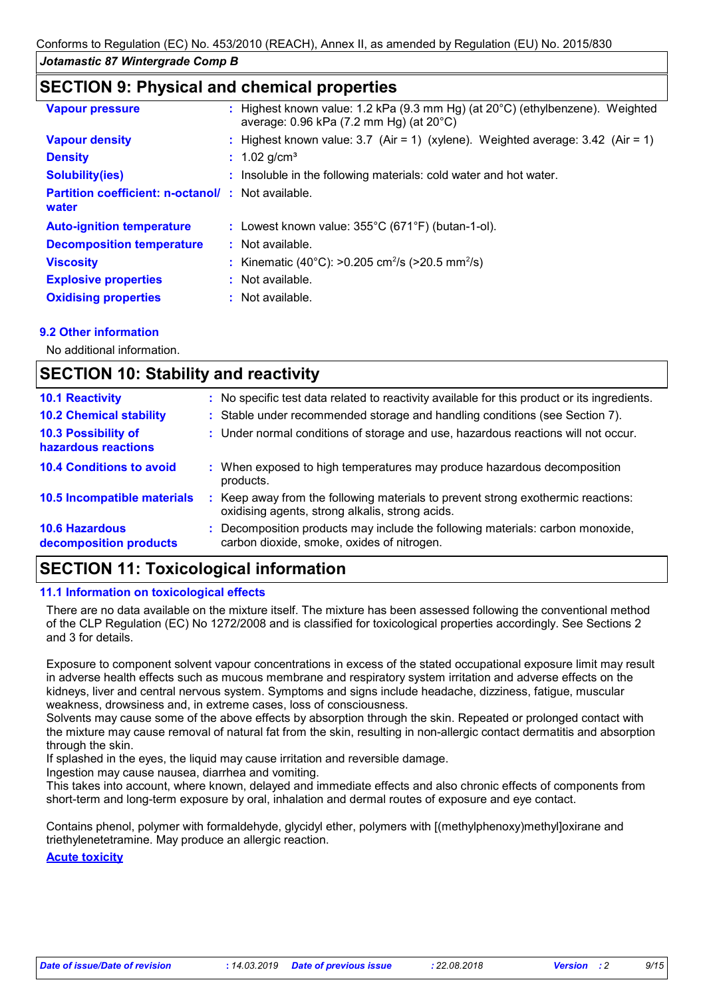### **SECTION 9: Physical and chemical properties**

| <b>Vapour pressure</b>                                            | : Highest known value: 1.2 kPa (9.3 mm Hg) (at 20°C) (ethylbenzene). Weighted<br>average: $0.96$ kPa (7.2 mm Hg) (at $20^{\circ}$ C) |
|-------------------------------------------------------------------|--------------------------------------------------------------------------------------------------------------------------------------|
| <b>Vapour density</b>                                             | : Highest known value: 3.7 (Air = 1) (xylene). Weighted average: $3.42$ (Air = 1)                                                    |
| <b>Density</b>                                                    | : $1.02$ g/cm <sup>3</sup>                                                                                                           |
| <b>Solubility(ies)</b>                                            | : Insoluble in the following materials: cold water and hot water.                                                                    |
| <b>Partition coefficient: n-octanol/: Not available.</b><br>water |                                                                                                                                      |
| <b>Auto-ignition temperature</b>                                  | : Lowest known value: $355^{\circ}$ C (671 $^{\circ}$ F) (butan-1-ol).                                                               |
| <b>Decomposition temperature</b>                                  | : Not available.                                                                                                                     |
| <b>Viscosity</b>                                                  | : Kinematic (40°C): >0.205 cm <sup>2</sup> /s (>20.5 mm <sup>2</sup> /s)                                                             |
| <b>Explosive properties</b>                                       | $:$ Not available.                                                                                                                   |
| <b>Oxidising properties</b>                                       | : Not available.                                                                                                                     |

### **9.2 Other information**

No additional information.

#### **SECTION 10: Stability and reactivity** : Keep away from the following materials to prevent strong exothermic reactions: oxidising agents, strong alkalis, strong acids. **10.6 Hazardous decomposition products 10.4 Conditions to avoid**  $\qquad$ **:** When exposed to high temperatures may produce hazardous decomposition products. **10.2 Chemical stability :** Stable under recommended storage and handling conditions (see Section 7). **:** Decomposition products may include the following materials: carbon monoxide, **10.5 Incompatible materials : 10.3 Possibility of hazardous reactions :** Under normal conditions of storage and use, hazardous reactions will not occur. **10.1 Reactivity :** No specific test data related to reactivity available for this product or its ingredients. carbon dioxide, smoke, oxides of nitrogen.

## **SECTION 11: Toxicological information**

### **11.1 Information on toxicological effects**

There are no data available on the mixture itself. The mixture has been assessed following the conventional method of the CLP Regulation (EC) No 1272/2008 and is classified for toxicological properties accordingly. See Sections 2 and 3 for details.

Exposure to component solvent vapour concentrations in excess of the stated occupational exposure limit may result in adverse health effects such as mucous membrane and respiratory system irritation and adverse effects on the kidneys, liver and central nervous system. Symptoms and signs include headache, dizziness, fatigue, muscular weakness, drowsiness and, in extreme cases, loss of consciousness.

Solvents may cause some of the above effects by absorption through the skin. Repeated or prolonged contact with the mixture may cause removal of natural fat from the skin, resulting in non-allergic contact dermatitis and absorption through the skin.

If splashed in the eyes, the liquid may cause irritation and reversible damage.

Ingestion may cause nausea, diarrhea and vomiting.

This takes into account, where known, delayed and immediate effects and also chronic effects of components from short-term and long-term exposure by oral, inhalation and dermal routes of exposure and eye contact.

Contains phenol, polymer with formaldehyde, glycidyl ether, polymers with [(methylphenoxy)methyl]oxirane and triethylenetetramine. May produce an allergic reaction.

**Acute toxicity**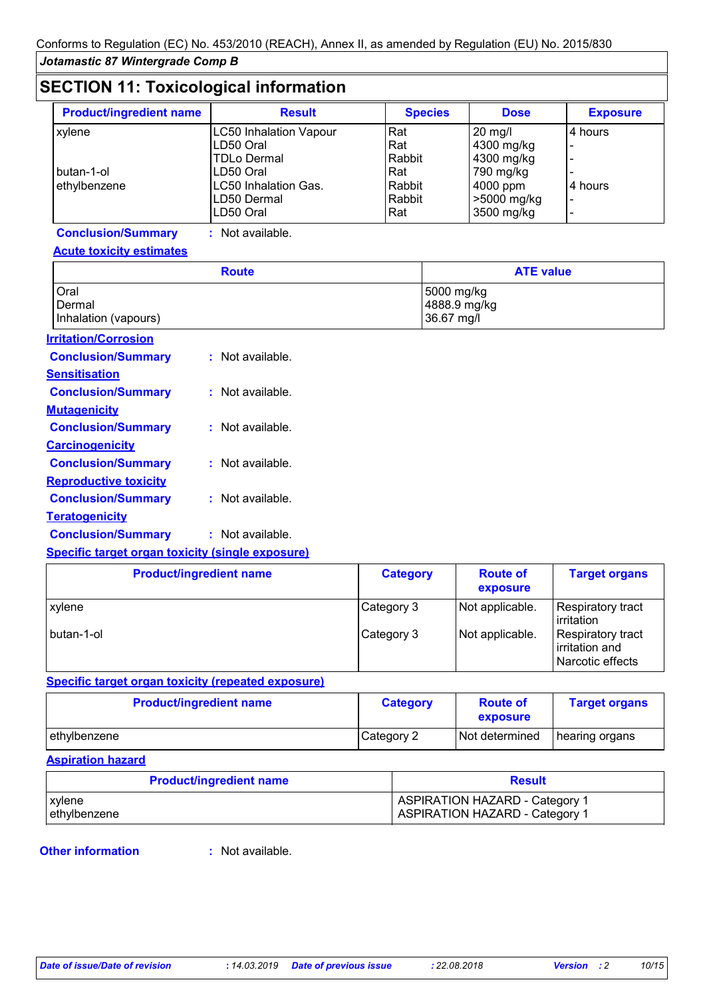### **SECTION 11: Toxicological information**

| <b>Product/ingredient name</b> | <b>Result</b>                 | <b>Species</b> | <b>Dose</b> | <b>Exposure</b> |
|--------------------------------|-------------------------------|----------------|-------------|-----------------|
| xylene                         | <b>LC50 Inhalation Vapour</b> | Rat            | $20$ mg/l   | 4 hours         |
|                                | LD50 Oral                     | Rat            | 4300 mg/kg  |                 |
|                                | <b>TDLo Dermal</b>            | Rabbit         | 4300 mg/kg  |                 |
| butan-1-ol                     | LD50 Oral                     | Rat            | 790 mg/kg   |                 |
| ethylbenzene                   | <b>LC50 Inhalation Gas.</b>   | Rabbit         | $4000$ ppm  | 4 hours         |
|                                | LD50 Dermal                   | Rabbit         | >5000 mg/kg |                 |
|                                | LD50 Oral                     | Rat            | 3500 mg/kg  |                 |

### **Conclusion/Summary :** Not available.

### **Acute toxicity estimates**

|                                                                                                                                                                                                                                | <b>Route</b>     | <b>ATE value</b>                         |
|--------------------------------------------------------------------------------------------------------------------------------------------------------------------------------------------------------------------------------|------------------|------------------------------------------|
| Oral<br>Dermal<br>Inhalation (vapours)                                                                                                                                                                                         |                  | 5000 mg/kg<br>4888.9 mg/kg<br>36.67 mg/l |
| <b>Irritation/Corrosion</b>                                                                                                                                                                                                    |                  |                                          |
| <b>Conclusion/Summary</b>                                                                                                                                                                                                      | : Not available. |                                          |
| <b>Sensitisation</b>                                                                                                                                                                                                           |                  |                                          |
| <b>Conclusion/Summary</b>                                                                                                                                                                                                      | : Not available. |                                          |
| <b>Mutagenicity</b>                                                                                                                                                                                                            |                  |                                          |
| <b>Conclusion/Summary</b>                                                                                                                                                                                                      | : Not available. |                                          |
| <b>Carcinogenicity</b>                                                                                                                                                                                                         |                  |                                          |
| <b>Conclusion/Summary</b>                                                                                                                                                                                                      | : Not available. |                                          |
| <b>Reproductive toxicity</b>                                                                                                                                                                                                   |                  |                                          |
| <b>Conclusion/Summary</b>                                                                                                                                                                                                      | : Not available. |                                          |
| <b>Teratogenicity</b>                                                                                                                                                                                                          |                  |                                          |
| <b>Conclusion/Summary</b>                                                                                                                                                                                                      | : Not available. |                                          |
| And all the statement of a company statement of the collection of the collection of the collection of the collection of the collection of the collection of the collection of the collection of the collection of the collecti |                  |                                          |

### **Specific target organ toxicity (single exposure)**

| <b>Product/ingredient name</b> | <b>Category</b> | <b>Route of</b><br>exposure | <b>Target organs</b>                                           |
|--------------------------------|-----------------|-----------------------------|----------------------------------------------------------------|
| <b>xylene</b>                  | Category 3      | Not applicable.             | Respiratory tract<br>irritation                                |
| l butan-1-ol                   | Category 3      | Not applicable.             | <b>Respiratory tract</b><br>irritation and<br>Narcotic effects |

### **Specific target organ toxicity (repeated exposure)**

| <b>Product/ingredient name</b> | <b>Category</b> | <b>Route of</b><br>exposure | <b>Target organs</b> |
|--------------------------------|-----------------|-----------------------------|----------------------|
| ethylbenzene                   | Category 2      | Not determined              | hearing organs       |

### **Aspiration hazard**

| <b>Product/ingredient name</b><br><b>Result</b> |                                       |
|-------------------------------------------------|---------------------------------------|
| <b>xylene</b>                                   | <b>ASPIRATION HAZARD - Category 1</b> |
| ethylbenzene                                    | ASPIRATION HAZARD - Category 1        |

### **Other information :**

: Not available.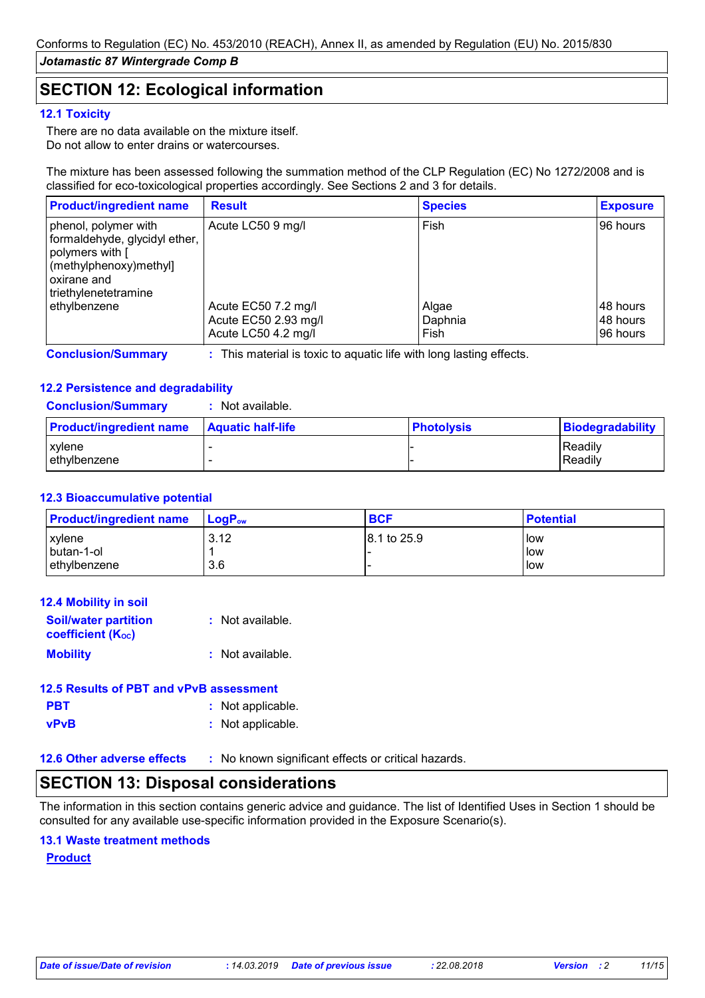### **SECTION 12: Ecological information**

### **12.1 Toxicity**

There are no data available on the mixture itself. Do not allow to enter drains or watercourses.

The mixture has been assessed following the summation method of the CLP Regulation (EC) No 1272/2008 and is classified for eco-toxicological properties accordingly. See Sections 2 and 3 for details.

| <b>Product/ingredient name</b>                                                                                                                      | <b>Result</b>                                                      | <b>Species</b>           | <b>Exposure</b>                  |
|-----------------------------------------------------------------------------------------------------------------------------------------------------|--------------------------------------------------------------------|--------------------------|----------------------------------|
| phenol, polymer with<br>formaldehyde, glycidyl ether,<br>polymers with [<br>$\vert$ (methylphenoxy) methyl<br>l oxirane and<br>triethylenetetramine | Acute LC50 9 mg/l                                                  | Fish                     | 96 hours                         |
| ethylbenzene                                                                                                                                        | Acute EC50 7.2 mg/l<br>Acute EC50 2.93 mg/l<br>Acute LC50 4.2 mg/l | Algae<br>Daphnia<br>Fish | 48 hours<br>48 hours<br>96 hours |

**Conclusion/Summary :** This material is toxic to aquatic life with long lasting effects.

### **12.2 Persistence and degradability**

| <b>Conclusion/Summary</b> | Not available. |
|---------------------------|----------------|
|---------------------------|----------------|

| <b>Product/ingredient name</b> | <b>Aquatic half-life</b> | <b>Photolysis</b> | <u> Biodegradability_</u> |
|--------------------------------|--------------------------|-------------------|---------------------------|
| <b>xylene</b>                  |                          |                   | Readily                   |
| ethylbenzene                   |                          |                   | Readily                   |

### **12.3 Bioaccumulative potential**

| <b>Product/ingredient name</b> | <b>LogP</b> <sub>ow</sub> | <b>BCF</b>  | <b>Potential</b> |
|--------------------------------|---------------------------|-------------|------------------|
| xylene                         | 3.12                      | 8.1 to 25.9 | low              |
| butan-1-ol                     |                           |             | low              |
| ethylbenzene                   | 3.6                       |             | low              |

| 12.4 Mobility in soil                                   |                  |
|---------------------------------------------------------|------------------|
| <b>Soil/water partition</b><br><b>coefficient (Koc)</b> | : Not available. |
| <b>Mobility</b>                                         | : Not available. |

|             | 12.5 Results of PBT and vPvB assessment |
|-------------|-----------------------------------------|
| <b>PBT</b>  | : Not applicable.                       |
| <b>vPvB</b> | : Not applicable.                       |

**12.6 Other adverse effects** : No known significant effects or critical hazards.

### **SECTION 13: Disposal considerations**

The information in this section contains generic advice and guidance. The list of Identified Uses in Section 1 should be consulted for any available use-specific information provided in the Exposure Scenario(s).

### **13.1 Waste treatment methods**

### **Product**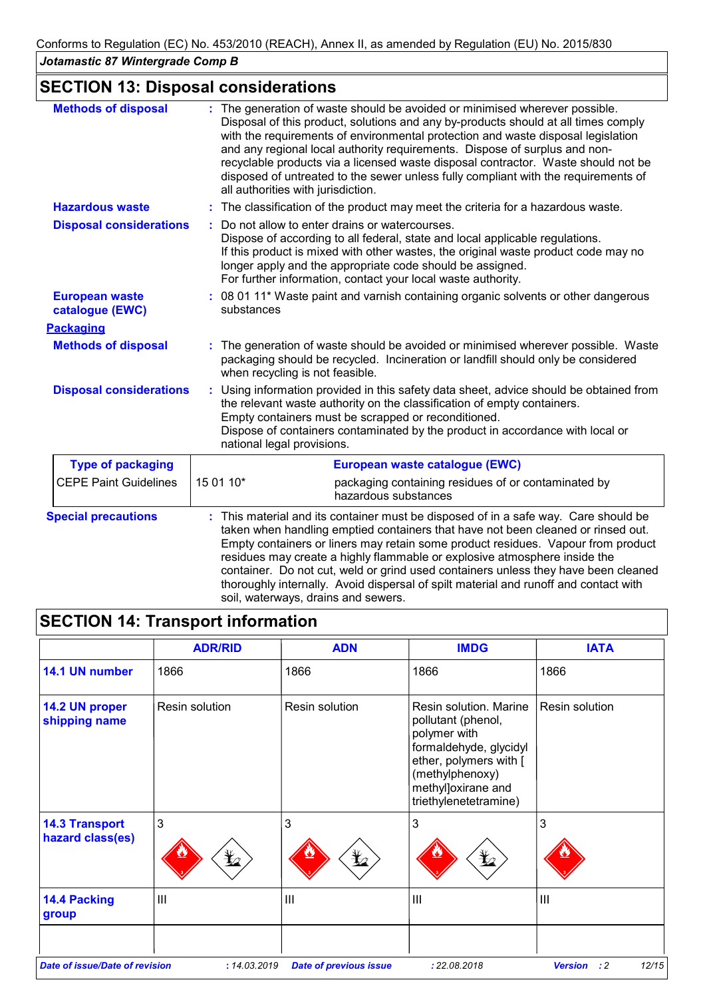# **SECTION 13: Disposal considerations**

| <b>Methods of disposal</b>               | : The generation of waste should be avoided or minimised wherever possible.<br>Disposal of this product, solutions and any by-products should at all times comply<br>with the requirements of environmental protection and waste disposal legislation<br>and any regional local authority requirements. Dispose of surplus and non-<br>recyclable products via a licensed waste disposal contractor. Waste should not be<br>disposed of untreated to the sewer unless fully compliant with the requirements of<br>all authorities with jurisdiction.        |  |
|------------------------------------------|-------------------------------------------------------------------------------------------------------------------------------------------------------------------------------------------------------------------------------------------------------------------------------------------------------------------------------------------------------------------------------------------------------------------------------------------------------------------------------------------------------------------------------------------------------------|--|
| <b>Hazardous waste</b>                   | The classification of the product may meet the criteria for a hazardous waste.                                                                                                                                                                                                                                                                                                                                                                                                                                                                              |  |
| <b>Disposal considerations</b>           | Do not allow to enter drains or watercourses.<br>Dispose of according to all federal, state and local applicable regulations.<br>If this product is mixed with other wastes, the original waste product code may no<br>longer apply and the appropriate code should be assigned.<br>For further information, contact your local waste authority.                                                                                                                                                                                                            |  |
| <b>European waste</b><br>catalogue (EWC) | 08 01 11* Waste paint and varnish containing organic solvents or other dangerous<br>substances                                                                                                                                                                                                                                                                                                                                                                                                                                                              |  |
| <b>Packaging</b>                         |                                                                                                                                                                                                                                                                                                                                                                                                                                                                                                                                                             |  |
| <b>Methods of disposal</b>               | The generation of waste should be avoided or minimised wherever possible. Waste<br>packaging should be recycled. Incineration or landfill should only be considered<br>when recycling is not feasible.                                                                                                                                                                                                                                                                                                                                                      |  |
| <b>Disposal considerations</b>           | Using information provided in this safety data sheet, advice should be obtained from<br>the relevant waste authority on the classification of empty containers.<br>Empty containers must be scrapped or reconditioned.<br>Dispose of containers contaminated by the product in accordance with local or<br>national legal provisions.                                                                                                                                                                                                                       |  |
| <b>Type of packaging</b>                 | European waste catalogue (EWC)                                                                                                                                                                                                                                                                                                                                                                                                                                                                                                                              |  |
| <b>CEPE Paint Guidelines</b>             | 15 01 10*<br>packaging containing residues of or contaminated by<br>hazardous substances                                                                                                                                                                                                                                                                                                                                                                                                                                                                    |  |
| <b>Special precautions</b>               | This material and its container must be disposed of in a safe way. Care should be<br>taken when handling emptied containers that have not been cleaned or rinsed out.<br>Empty containers or liners may retain some product residues. Vapour from product<br>residues may create a highly flammable or explosive atmosphere inside the<br>container. Do not cut, weld or grind used containers unless they have been cleaned<br>thoroughly internally. Avoid dispersal of spilt material and runoff and contact with<br>soil, waterways, drains and sewers. |  |

|                                           | <b>ADR/RID</b>  | <b>ADN</b>     | <b>IMDG</b>                                                                                                                                                                        | <b>IATA</b>    |
|-------------------------------------------|-----------------|----------------|------------------------------------------------------------------------------------------------------------------------------------------------------------------------------------|----------------|
| 14.1 UN number                            | 1866            | 1866           | 1866                                                                                                                                                                               | 1866           |
| 14.2 UN proper<br>shipping name           | Resin solution  | Resin solution | Resin solution, Marine<br>pollutant (phenol,<br>polymer with<br>formaldehyde, glycidyl<br>ether, polymers with [<br>(methylphenoxy)<br>methyl]oxirane and<br>triethylenetetramine) | Resin solution |
| <b>14.3 Transport</b><br>hazard class(es) | 3<br>$\bigstar$ | 3<br>¥∠        | 3<br>$\bigstar$                                                                                                                                                                    | 3              |
| <b>14.4 Packing</b><br>group              | $\mathbf{III}$  | III            | $\mathbf{III}$                                                                                                                                                                     | III            |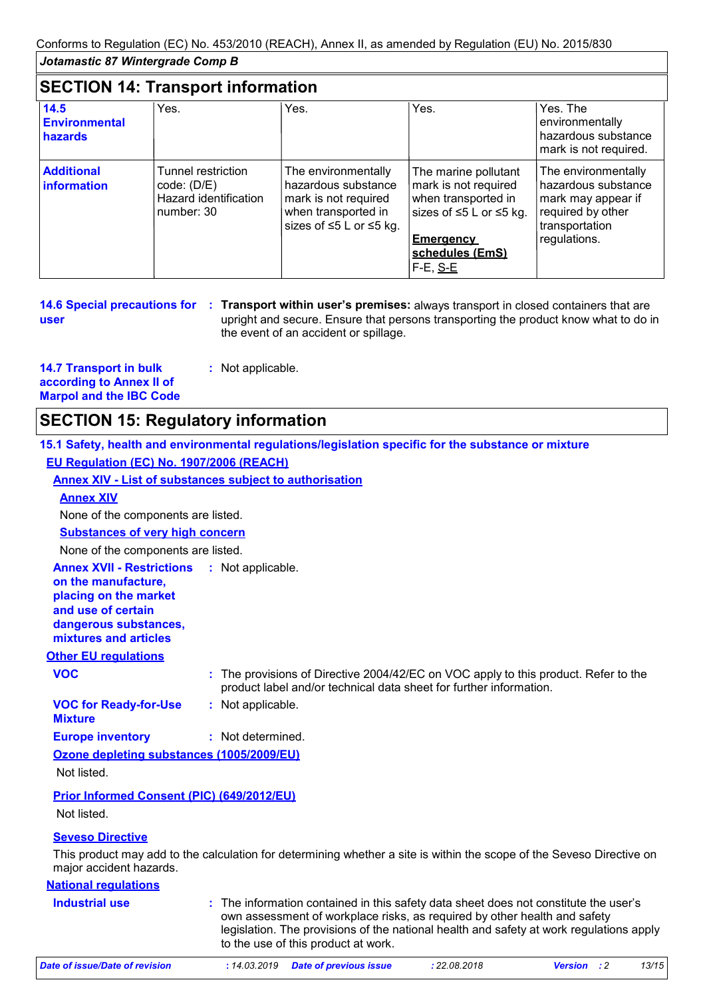### **SECTION 14: Transport information**

| 14.5<br><b>Environmental</b><br>hazards | Yes.                                                                     | Yes.                                                                                                                             | Yes.                                                                                                                                                               | Yes. The<br>environmentally<br>hazardous substance<br>mark is not required.                                             |
|-----------------------------------------|--------------------------------------------------------------------------|----------------------------------------------------------------------------------------------------------------------------------|--------------------------------------------------------------------------------------------------------------------------------------------------------------------|-------------------------------------------------------------------------------------------------------------------------|
| <b>Additional</b><br>information        | Tunnel restriction<br>code: (D/E)<br>Hazard identification<br>number: 30 | The environmentally<br>hazardous substance<br>mark is not required<br>when transported in<br>sizes of $\leq 5$ L or $\leq 5$ kg. | The marine pollutant<br>mark is not required<br>when transported in<br>sizes of $\leq$ 5 L or $\leq$ 5 kg.<br><b>Emergency</b><br>schedules (EmS)<br>$F-E$ , $S-E$ | The environmentally<br>hazardous substance<br>mark may appear if<br>required by other<br>transportation<br>regulations. |

|      | 14.6 Special precautions for : Transport within user's premises: always transport in closed containers that are |
|------|-----------------------------------------------------------------------------------------------------------------|
| user | upright and secure. Ensure that persons transporting the product know what to do in                             |
|      | the event of an accident or spillage.                                                                           |

| <b>14.7 Transport in bulk</b>  | : Not applicable. |
|--------------------------------|-------------------|
| according to Annex II of       |                   |
| <b>Marpol and the IBC Code</b> |                   |

# **SECTION 15: Regulatory information**

|                                                                                                                                                                            | 15.1 Safety, health and environmental regulations/legislation specific for the substance or mixture                                                                                                                                                                                                 |
|----------------------------------------------------------------------------------------------------------------------------------------------------------------------------|-----------------------------------------------------------------------------------------------------------------------------------------------------------------------------------------------------------------------------------------------------------------------------------------------------|
| EU Regulation (EC) No. 1907/2006 (REACH)                                                                                                                                   |                                                                                                                                                                                                                                                                                                     |
|                                                                                                                                                                            | <b>Annex XIV - List of substances subject to authorisation</b>                                                                                                                                                                                                                                      |
| <b>Annex XIV</b>                                                                                                                                                           |                                                                                                                                                                                                                                                                                                     |
| None of the components are listed.                                                                                                                                         |                                                                                                                                                                                                                                                                                                     |
| <b>Substances of very high concern</b>                                                                                                                                     |                                                                                                                                                                                                                                                                                                     |
| None of the components are listed.                                                                                                                                         |                                                                                                                                                                                                                                                                                                     |
| <b>Annex XVII - Restrictions : Not applicable.</b><br>on the manufacture,<br>placing on the market<br>and use of certain<br>dangerous substances,<br>mixtures and articles |                                                                                                                                                                                                                                                                                                     |
| <b>Other EU regulations</b>                                                                                                                                                |                                                                                                                                                                                                                                                                                                     |
| <b>VOC</b>                                                                                                                                                                 | : The provisions of Directive 2004/42/EC on VOC apply to this product. Refer to the<br>product label and/or technical data sheet for further information.                                                                                                                                           |
| <b>VOC for Ready-for-Use</b><br><b>Mixture</b>                                                                                                                             | : Not applicable.                                                                                                                                                                                                                                                                                   |
| <b>Europe inventory</b>                                                                                                                                                    | : Not determined.                                                                                                                                                                                                                                                                                   |
| Ozone depleting substances (1005/2009/EU)                                                                                                                                  |                                                                                                                                                                                                                                                                                                     |
| Not listed.                                                                                                                                                                |                                                                                                                                                                                                                                                                                                     |
| <b>Prior Informed Consent (PIC) (649/2012/EU)</b>                                                                                                                          |                                                                                                                                                                                                                                                                                                     |
| Not listed.                                                                                                                                                                |                                                                                                                                                                                                                                                                                                     |
| <b>Seveso Directive</b>                                                                                                                                                    |                                                                                                                                                                                                                                                                                                     |
| major accident hazards.                                                                                                                                                    | This product may add to the calculation for determining whether a site is within the scope of the Seveso Directive on                                                                                                                                                                               |
| <b>National regulations</b>                                                                                                                                                |                                                                                                                                                                                                                                                                                                     |
| <b>Industrial use</b>                                                                                                                                                      | : The information contained in this safety data sheet does not constitute the user's<br>own assessment of workplace risks, as required by other health and safety<br>legislation. The provisions of the national health and safety at work regulations apply<br>to the use of this product at work. |

| Date of issue/Date of revision | : 14.03.2019 Date of previous issue | : 22.08.2018 | <b>Version</b> : 2 | 13/15 |
|--------------------------------|-------------------------------------|--------------|--------------------|-------|
|                                |                                     |              |                    |       |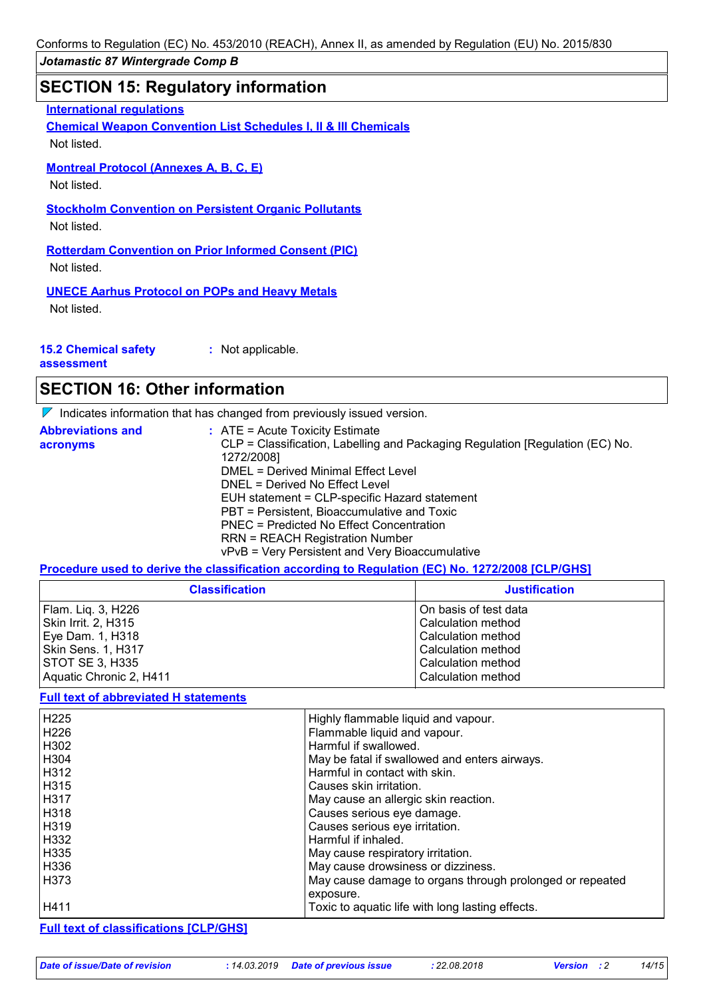### **SECTION 15: Regulatory information**

**International regulations**

**Chemical Weapon Convention List Schedules I, II & III Chemicals** Not listed.

### **Montreal Protocol (Annexes A, B, C, E)**

Not listed.

**Stockholm Convention on Persistent Organic Pollutants**

Not listed.

**Rotterdam Convention on Prior Informed Consent (PIC)** Not listed.

**UNECE Aarhus Protocol on POPs and Heavy Metals** Not listed.

|  | <b>15.2 Chemical safety</b> |  |  |
|--|-----------------------------|--|--|
|--|-----------------------------|--|--|

**assessment**

**:** Not applicable.

### **SECTION 16: Other information**

 $\nabla$  Indicates information that has changed from previously issued version.

| <b>Abbreviations and</b> | $\therefore$ ATE = Acute Toxicity Estimate                                    |
|--------------------------|-------------------------------------------------------------------------------|
| acronyms                 | CLP = Classification, Labelling and Packaging Regulation [Regulation (EC) No. |
|                          | 1272/2008]                                                                    |
|                          | DMEL = Derived Minimal Effect Level                                           |
|                          | DNEL = Derived No Effect Level                                                |
|                          | EUH statement = CLP-specific Hazard statement                                 |
|                          | PBT = Persistent, Bioaccumulative and Toxic                                   |
|                          | PNEC = Predicted No Effect Concentration                                      |
|                          | <b>RRN = REACH Registration Number</b>                                        |
|                          | vPvB = Very Persistent and Very Bioaccumulative                               |

**Procedure used to derive the classification according to Regulation (EC) No. 1272/2008 [CLP/GHS]**

| <b>Classification</b>   | <b>Justification</b>  |
|-------------------------|-----------------------|
| Flam. Liq. 3, H226      | On basis of test data |
| Skin Irrit. 2, H315     | Calculation method    |
| Eye Dam. 1, H318        | Calculation method    |
| Skin Sens. 1, H317      | Calculation method    |
| STOT SE 3, H335         | Calculation method    |
| Aquatic Chronic 2, H411 | Calculation method    |

#### **Full text of abbreviated H statements**

| H <sub>225</sub> | Highly flammable liquid and vapour.                      |
|------------------|----------------------------------------------------------|
| H226             | Flammable liquid and vapour.                             |
| H302             | Harmful if swallowed.                                    |
| H304             | May be fatal if swallowed and enters airways.            |
| H312             | Harmful in contact with skin.                            |
| H315             | Causes skin irritation.                                  |
| H317             | May cause an allergic skin reaction.                     |
| H318             | Causes serious eye damage.                               |
| H319             | Causes serious eye irritation.                           |
| H332             | Harmful if inhaled.                                      |
| H335             | May cause respiratory irritation.                        |
| H336             | May cause drowsiness or dizziness.                       |
| H <sub>373</sub> | May cause damage to organs through prolonged or repeated |
|                  | exposure.                                                |
| H411             | Toxic to aquatic life with long lasting effects.         |

**Full text of classifications [CLP/GHS]**